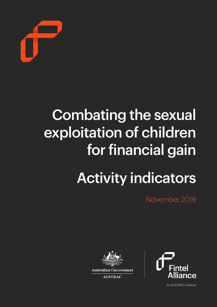

## Combating the sexual exploitation of children for financial gain Activity indicators

November 2019





**AUSTRAC** 

An AUSTRAC initiative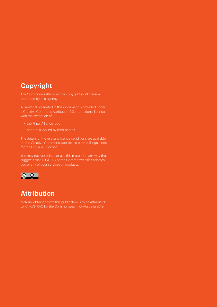#### Copyright

The Commonwealth owns the copyright in all material produced by this agency.

All material presented in this document is provided under a Creative Commons Attribution 4.0 International licence, with the exception of:

- the Fintel Alliance logo
- content supplied by third parties.

The details of the relevant licence conditions are available on the Creative Commons website, as is the full legal code for the CC BY 4.0 license.

You may not reproduce or use this material in any way that suggests that AUSTRAC or the Commonwealth endorses you or any of your services or products.



#### Attribution

Material obtained from this publication is to be attributed to: © AUSTRAC for the Commonwealth of Australia 2019.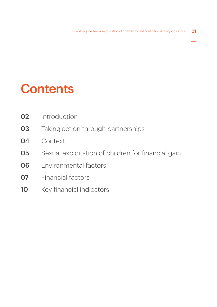### **Contents**

- Introduction
- Taking action through partnerships
- Context
- Sexual exploitation of children for financial gain
- Environmental factors
- Financial factors
- 10 Key financial indicators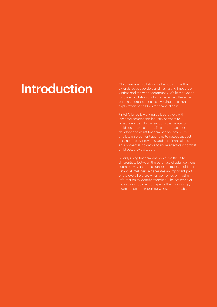### Introduction Child sexual exploitation is a heinous crime that<br>
extends across borders and has lasting impacts

extends across borders and has lasting impacts on victims and the wider community. While motivation for the exploitation of children is varied, there has been an increase in cases involving the sexual exploitation of children for financial gain.

Fintel Alliance is working collaboratively with law enforcement and industry partners to proactively identify transactions that relate to child sexual exploitation. This report has been developed to assist financial service providers and law enforcement agencies to detect suspect transactions by providing updated financial and environmental indicators to more efectively combat child sexual exploitation.

By only using financial analysis it is dificult to diferentiate between the purchase of adult services, scam activity and the sexual exploitation of children. Financial intelligence generates an important part of the overall picture when combined with other information to identify offending. The presence of indicators should encourage further monitoring, examination and reporting where appropriate.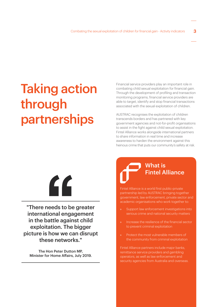### Taking action through partnerships

Financial service providers play an important role in combating child sexual exploitation for financial gain. Through the development of profiling and transaction monitoring programs, financial service providers are able to target, identify and stop financial transactions associated with the sexual exploitation of children.

AUSTRAC recognises the exploitation of children transcends borders and has partnered with key government agencies and not-for-profit organisations to assist in the fight against child sexual exploitation. Fintel Alliance works alongside international partners to share information in real time and increase awareness to harden the environment against this heinous crime that puts our community's safety at risk.

# "

"There needs to be greater international engagement in the battle against child exploitation. The bigger picture is how we can disrupt these networks."

The Hon Peter Dutton MP, Minister for Home Afairs, July 2019.

### What is Fintel Alliance

Fintel Alliance is a world first public-private partnership led by AUSTRAC bringing together government, law enforcement, private sector and academic organisations who work together to:

- Support law enforcement investigations into serious crime and national security matters
- » Increase the resilience of the financial sector to prevent criminal exploitation
- » Protect the most vulnerable members of the community from criminal exploitation

Fintel Alliance partners include major banks, remittance service providers and gambling operators, as well as law enforcement and security agencies from Australia and overseas.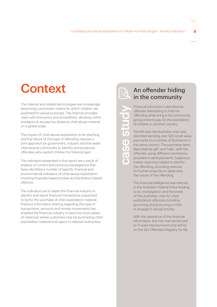### **Context**

The Internet and related technologies are increasingly becoming a prominent means by which children are exploited for sexual purposes. The Internet provides users with anonymity and accessibility, allowing online predators to access live-distance child abuse material on a global scale.

The impact of child sexual exploitation is far reaching and the nature of this type of ofending requires a joint approach by government, industry and the wider international community to identify and prosecute ofenders who exploit children for financial gain.

The indicators presented in this report are a result of analysis of current and previous investigations that have identified a number of specific financial and environmental indicators of child sexual exploitation involving Australia-based entities and facilitators based offshore

The indicators are to assist the financial industry to identify and report financial transactions suspected to be for the purchase of child exploitation material. Previous information sharing regarding the type of transactions, amounts and money movements has enabled the financial industry to become more aware of instances where customers may be purchasing child exploitation material and report to relevant authorities.

case study

 $\ddot{\bm{c}}$ 

 $\zeta$ T

 $\bigcirc$ 

 $\blacksquare$ T.

Financial information identified an An offender hiding in the community

ofender attempting to hide his ofending while living in the community, going online to pay for the exploitation of children in another country.

The 69-year-old Australian man was identified sending over 500 small value payments to a number of facilitators in the same country. The payments were described as 'gift' and 'help', with the offender using different remittance providers to send payments. Suspicious matter reporting helped to identify the offending, providing avenues for further enquiries to determine the nature of the offending.

The financial intelligence was referred to the Australian Federal Police leading to an investigation and the arrest of the Australian man for child exploitation offences including grooming and procuring a child to engage in sexual activity.

With the assistance of the financial information, the man was sentenced to 11 years imprisonment and will be on the Sex Ofenders Registry for life.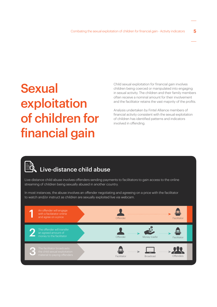### **Sexual** exploitation of children for financial gain

Child sexual exploitation for financial gain involves children being coerced or manipulated into engaging in sexual activity. The children and their family members often receive a nominal amount for their involvement and the facilitator retains the vast majority of the profits.

Analysis undertaken by Fintel Alliance members of financial activity consistent with the sexual exploitation of children has identified patterns and indicators involved in ofending.

### Live-distance child abuse

Live-distance child abuse involves ofenders sending payments to facilitators to gain access to the online streaming of children being sexually abused in another country.

In most instances, the abuse involves an ofender negotiating and agreeing on a price with the facilitator to watch and/or instruct as children are sexually exploited live via webcam.

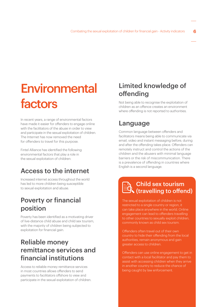### **Environmental** factors

In recent years, a range of environmental factors have made it easier for offenders to engage online with the facilitators of the abuse in order to view and participate in the sexual exploitation of children. The Internet has now removed the need for offenders to travel for this purpose.

Fintel Alliance has identified the following environmental factors that play a role in the sexual exploitation of children:

#### Access to the internet

Increased internet access throughout the world has led to more children being susceptible to sexual exploitation and abuse.

#### Poverty or financial position

Poverty has been identified as a motivating driver of live-distance child abuse and child sex tourism, with the majority of children being subjected to exploitation for financial gain.

#### Reliable money remittance services and financial institutions

Access to reliable money remittance services in most countries allows ofenders to send payments to facilitators ofshore to view and participate in the sexual exploitation of children.

#### Limited knowledge of ofending

Not being able to recognise the exploitation of children as an ofence creates an environment where offending is not reported to authorities.

#### Language

Common language between offenders and facilitators means being able to communicate via email, video and instant messaging before, during and after the offending takes place. Offenders can remotely instruct and control the actions of the children and the abusers with minimal language barriers or the risk of miscommunication. There is a prevalence of ofending in countries where English is a second language.

#### Child sex tourism (travelling to ofend)

The sexual exploitation of children is not restricted to a single country or region, it can take place anywhere in the world. Online engagement can lead to ofenders travelling to other countries to sexually exploit children, commonly known as child sex tourism.

Ofenders often travel out of their own country to hide their ofending from the local authorities, remain anonymous and gain greater access to children.

Ofenders can use online engagement to get in contact with a local facilitator and pay them to assist with accessing children when they arrive in another country to reduce the chance of being caught by law enforcement.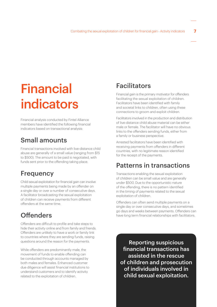### Financial indicators

Financial analysis conducted by Fintel Alliance members have identified the following financial indicators based on transactional analysis:

#### Small amounts

Financial transactions involved with live-distance child abuse are generally of a small value (ranging from \$15 to \$500). The amount to be paid is negotiated, with funds sent prior to the offending taking place.

#### **Frequency**

Child sexual exploitation for financial gain can involve multiple payments being made by an ofender on a single day or over a number of consecutive days. A facilitator broadcasting the sexual exploitation of children can receive payments from diferent ofenders at the same time.

#### **Offenders**

Ofenders are dificult to profile and take steps to hide their activity online and from family and friends. Ofenders are unlikely to have a work or family link to countries where they are sending funds, raising questions around the reason for the payments.

While offenders are predominantly male, the movement of funds to enable ofending can be conducted through accounts managed by both males and females. Enhanced customer due diligence will assist financial institutions to understand customers and to identify activity related to the exploitation of children.

#### Facilitators

Financial gain is the primary motivator for offenders facilitating the sexual exploitation of children. Facilitators have been identified with family and societal links to children, often using these connections to groom and exploit children.

Facilitators involved in the production and distribution of live-distance child abuse material can be either male or female. The facilitator will have no obvious links to the ofenders sending funds, either from a family or business perspective.

Arrested facilitators have been identified with receiving payments from offenders in different countries, with no legitimate reason identified for the receipt of the payments.

#### Patterns in transactions

Transactions enabling the sexual exploitation of children can be small value and are generally under \$500. Due to the opportunistic nature of the ofending, there is no pattern identified in the timing of payments related to the sexual exploitation of children.

Ofenders can often send multiple payments on a single day or over consecutive days, and sometimes go days and weeks between payments. Ofenders can have long term financial relationships with facilitators.

Reporting suspicious financial transactions has assisted in the rescue of children and prosecution of individuals involved in child sexual exploitation.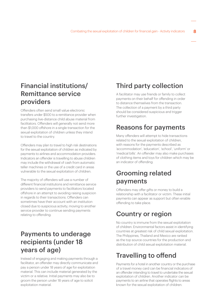#### Financial institutions/ Remittance service providers

Ofenders often send small value electronic transfers under \$500 to a remittance provider when purchasing live-distance child abuse material from facilitators. Offenders will generally not send more than \$1,000 ofshore in a single transaction for the sexual exploitation of children unless they intend to travel to the country.

Ofenders may plan to travel to high risk destinations for the sexual exploitation of children as indicated by payments to airlines and accommodation providers. Indicators an ofender is travelling to abuse children may include the withdrawal of cash from automatic teller machines or the use of a credit card in areas vulnerable to the sexual exploitation of children.

The majority of ofenders will use a number of diferent financial institutions and remittance service providers to send payments to facilitators located offshore in an attempt to avoiding raising suspicion in regards to their transactions. Offenders can sometimes have their account with an institution closed due to suspicious activity, moving to another service provider to continue sending payments relating to ofending.

#### Payments to underage recipients (under 18 years of age)

Instead of engaging and making payments through a facilitator, an offender may directly communicate and pay a person under 18 years of age for exploitation material. This can include material generated by the victim or a relative. Initial payments may also be to groom the person under 18 years of age to solicit exploitation material.

#### Third party collection

A facilitator may use friends or family to collect payments on their behalf for offending in order to distance themselves from the transaction. The collection of a payment by a third party should be considered suspicious and trigger further investigation.

#### Reasons for payments

Many offenders will attempt to hide transactions related to the sexual exploitation of children, with reasons for the payments described as 'accommodation', 'education', 'school', 'uniform' or 'medical bills'. An offender may also make purchases of clothing items and toys for children which may be an indicator of ofending. Fist State of State of State of State of State of State of State of State of State of State of State of State of State of State of State of State of State of State of State of State of State of State of State of State of S

#### Grooming related payments

Offenders may offer gifts or money to build a relationship with a facilitator or victim. These initial payments can appear as support but often enable ofending to take place.

#### Country or region

No country is immune from the sexual exploitation of children. Environmental factors assist in identifying countries at greatest risk of child sexual exploitation. The Philippines, Thailand and Mexico are ranked as the top source countries for the production and distribution of child sexual exploitation material.

#### **Travelling to offend**

Payments for a hotel in another country or the purchase of a travel money card can be financial indicators of an offender intending to travel to undertake the sexual exploitation of children. Another indicator can be payments to an airline that operates flights to areas known for the sexual exploitation of children.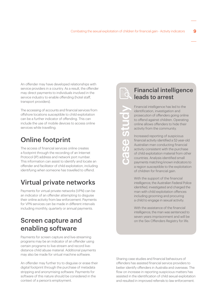An offender may have developed relationships with service providers in a country. As a result, the offender may direct payments to individuals involved in the service industry to enable offending (hotel staff, transport providers).

The accessing of accounts and financial services from ofshore locations susceptible to child exploitation can be a further indicator of ofending. This can include the use of mobile devices to access online services while travelling.

### Online footprint

The access of financial services online creates a footprint through the recording of an Internet Protocol (IP) address and network port number. This information can assist to identify and locate an ofender and facilitator of child exploitation, including identifying when someone has travelled to offend.

#### Virtual private networks

Payments for virtual private networks (VPN) can be an indicator of an ofender attempting to disguise their online activity from law enforcement. Payments for VPN services can be made in diferent intervals including monthly, quarterly or annual payments.

#### Screen capture and enabling software

Payments for screen capture and live-streaming programs may be an indicator of an ofender using certain programs to live-stream and record livedistance child abuse material. Additional payments may also be made for virtual machine software.

An offender may further try to disquise or erase their digital footprint through the purchase of metadata stripping and anonymising software. Payments for software of this nature should be considered in the context of a person's employment.

case study

case stuc

#### Financial intelligence leads to arrest

Financial intelligence has led to the identification, investigation and prosecution of ofenders going online to offend against children. Operating online allows ofenders to hide their activity from the community.

Increased reporting of suspicious financial activity identified a 52-year-old Australian man conducting financial activity consistent with the purchase of child exploitation material from other countries. Analysis identified small payments matching known indicators to a region susceptible to the exploitation of children for financial gain.

With the support of the financial intelligence, the Australian Federal Police identified, investigated and charged the man with child exploitation offences including grooming and procuring a child to engage in sexual activity.

With the assistance of the financial intelligence, the man was sentenced to seven years imprisonment and will be on the Sex Ofenders Registry for life.

Sharing case studies and financial behaviours of ofenders has assisted financial service providers to better identify offenders in Australia and overseas. The flow on increase in reporting suspicious matters has assisted in the identification of child sexual exploitation and resulted in improved referrals to law enforcement.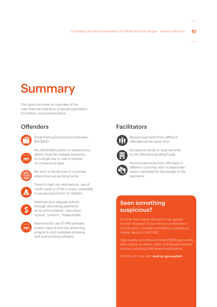### **Summary**

This report provides an overview of the main financial indicators of sexual exploitation of children, summarised below.

#### **Offenders**



Small financial transactions between \$15-\$500.

No identifiable pattern in transactions, which could be multiple payments on a single day or over a number of consecutive days.



No work or family links to countries where they are sending funds.



to sexual exploitation of children. Attempting to disguise activity

Travel to high risk destinations, use of credit cards or ATMs in areas vulnerable



through describing payments as 'accommodation', 'education', 'school', 'uniform', 'medical bills'.



Payments for use of VPN software, screen capture and live-streaming programs, and metadata stripping and anonymising software.

#### Facilitators



Receive payments from diferent ofenders at the same time.



No obvious family or business links to the ofenders sending funds.



Receive payments from offenders in diferent countries, with no legitimate reason identified for the receipt of the payments.

#### Seen something suspicious?

On their own, these indicators may appear normal. However, if you notice a combination of indicators, consider submitting a suspicious matter report to AUSTRAC.

High-quality, accurate and timely SMRs give us the best chance to detect, deter and disrupt criminal activity, including child sexual exploitation.

To find out more visit: **[austrac.gov.au/smr](https://www.austrac.gov.au/business/how-comply-guidance-and-resources/reporting/suspicious-matter-reports-smr)**